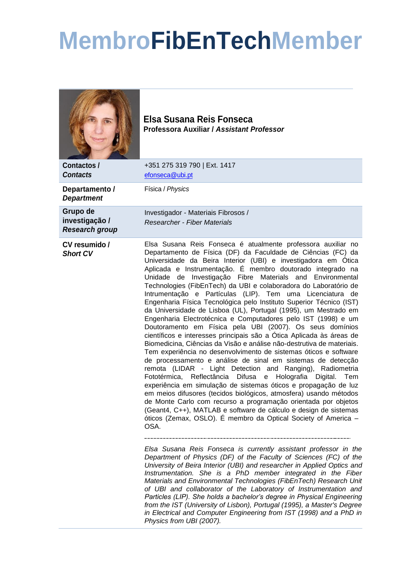## **MembroFibEnTechMember**



**Elsa Susana Reis Fonseca Professora Auxiliar /** *Assistant Professor*

| +351 275 319 790   Ext. 1417<br>Contactos /<br><b>Contacts</b><br>efonseca@ubi.pt<br>Física / Physics<br>Departamento /<br><b>Department</b><br>Grupo de<br>Investigador - Materiais Fibrosos / |                |                                                                                                                                                                                                                                                                                                                                                                                                                                                                                                                                                                                                                                                                                                                                                                                                                                                                                                                                                                                                                                                                                                                                                                                                                                                                                                                                                                                                                                                                                                                                                                                                                                                                                                                                                                                                                                                                                                                                                                                                                                                                                    |
|-------------------------------------------------------------------------------------------------------------------------------------------------------------------------------------------------|----------------|------------------------------------------------------------------------------------------------------------------------------------------------------------------------------------------------------------------------------------------------------------------------------------------------------------------------------------------------------------------------------------------------------------------------------------------------------------------------------------------------------------------------------------------------------------------------------------------------------------------------------------------------------------------------------------------------------------------------------------------------------------------------------------------------------------------------------------------------------------------------------------------------------------------------------------------------------------------------------------------------------------------------------------------------------------------------------------------------------------------------------------------------------------------------------------------------------------------------------------------------------------------------------------------------------------------------------------------------------------------------------------------------------------------------------------------------------------------------------------------------------------------------------------------------------------------------------------------------------------------------------------------------------------------------------------------------------------------------------------------------------------------------------------------------------------------------------------------------------------------------------------------------------------------------------------------------------------------------------------------------------------------------------------------------------------------------------------|
|                                                                                                                                                                                                 |                |                                                                                                                                                                                                                                                                                                                                                                                                                                                                                                                                                                                                                                                                                                                                                                                                                                                                                                                                                                                                                                                                                                                                                                                                                                                                                                                                                                                                                                                                                                                                                                                                                                                                                                                                                                                                                                                                                                                                                                                                                                                                                    |
|                                                                                                                                                                                                 |                |                                                                                                                                                                                                                                                                                                                                                                                                                                                                                                                                                                                                                                                                                                                                                                                                                                                                                                                                                                                                                                                                                                                                                                                                                                                                                                                                                                                                                                                                                                                                                                                                                                                                                                                                                                                                                                                                                                                                                                                                                                                                                    |
| Researcher - Fiber Materials<br><b>Research group</b>                                                                                                                                           | investigação / |                                                                                                                                                                                                                                                                                                                                                                                                                                                                                                                                                                                                                                                                                                                                                                                                                                                                                                                                                                                                                                                                                                                                                                                                                                                                                                                                                                                                                                                                                                                                                                                                                                                                                                                                                                                                                                                                                                                                                                                                                                                                                    |
| CV resumido /<br><b>Short CV</b><br>OSA.                                                                                                                                                        |                | Elsa Susana Reis Fonseca é atualmente professora auxiliar no<br>Departamento de Física (DF) da Faculdade de Ciências (FC) da<br>Universidade da Beira Interior (UBI) e investigadora em Ótica<br>Aplicada e Instrumentação. É membro doutorado integrado na<br>Unidade de Investigação Fibre Materials and Environmental<br>Technologies (FibEnTech) da UBI e colaboradora do Laboratório de<br>Intrumentação e Partículas (LIP). Tem uma Licenciatura de<br>Engenharia Física Tecnológica pelo Instituto Superior Técnico (IST)<br>da Universidade de Lisboa (UL), Portugal (1995), um Mestrado em<br>Engenharia Electrotécnica e Computadores pelo IST (1998) e um<br>Doutoramento em Física pela UBI (2007). Os seus domínios<br>científicos e interesses principais são a Ótica Aplicada às áreas de<br>Biomedicina, Ciências da Visão e análise não-destrutiva de materiais.<br>Tem experiência no desenvolvimento de sistemas óticos e software<br>de processamento e análise de sinal em sistemas de detecção<br>remota (LIDAR - Light Detection and Ranging), Radiometria<br>Fototérmica, Reflectância Difusa e Holografia Digital. Tem<br>experiência em simulação de sistemas óticos e propagação de luz<br>em meios difusores (tecidos biológicos, atmosfera) usando métodos<br>de Monte Carlo com recurso a programação orientada por objetos<br>(Geant4, C++), MATLAB e software de cálculo e design de sistemas<br>óticos (Zemax, OSLO). É membro da Optical Society of America -<br>Elsa Susana Reis Fonseca is currently assistant professor in the<br>Department of Physics (DF) of the Faculty of Sciences (FC) of the<br>University of Beira Interior (UBI) and researcher in Applied Optics and<br>Instrumentation. She is a PhD member integrated in the Fiber<br>Materials and Environmental Technologies (FibEnTech) Research Unit<br>of UBI and collaborator of the Laboratory of Instrumentation and<br>Particles (LIP). She holds a bachelor's degree in Physical Engineering<br>from the IST (University of Lisbon), Portugal (1995), a Master's Degree |

*Physics from UBI (2007).*